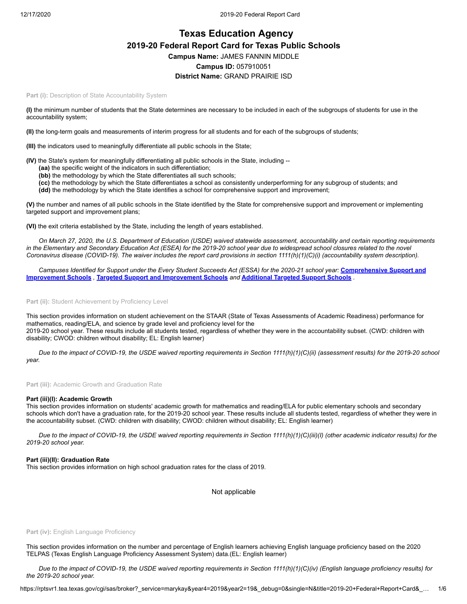# **Texas Education Agency 2019-20 Federal Report Card for Texas Public Schools Campus Name:** JAMES FANNIN MIDDLE **Campus ID:** 057910051 **District Name:** GRAND PRAIRIE ISD

Part (i): Description of State Accountability System

**(I)** the minimum number of students that the State determines are necessary to be included in each of the subgroups of students for use in the accountability system;

**(II)** the long-term goals and measurements of interim progress for all students and for each of the subgroups of students;

**(III)** the indicators used to meaningfully differentiate all public schools in the State;

**(IV)** the State's system for meaningfully differentiating all public schools in the State, including --

- **(aa)** the specific weight of the indicators in such differentiation;
- **(bb)** the methodology by which the State differentiates all such schools;
- **(cc)** the methodology by which the State differentiates a school as consistently underperforming for any subgroup of students; and
- **(dd)** the methodology by which the State identifies a school for comprehensive support and improvement;

**(V)** the number and names of all public schools in the State identified by the State for comprehensive support and improvement or implementing targeted support and improvement plans;

**(VI)** the exit criteria established by the State, including the length of years established.

*On March 27, 2020, the U.S. Department of Education (USDE) waived statewide assessment, accountability and certain reporting requirements in the Elementary and Secondary Education Act (ESEA) for the 2019-20 school year due to widespread school closures related to the novel Coronavirus disease (COVID-19). The waiver includes the report card provisions in section 1111(h)(1)(C)(i) (accountability system description).*

*Campuses Identified for Support under the Every Student Succeeds Act (ESSA) for the 2020-21 school year:* **Comprehensive Support and Improvement Schools** *,* **Targeted Support and Improvement Schools** *and* **Additional Targeted Support Schools** *.*

Part (ii): Student Achievement by Proficiency Level

This section provides information on student achievement on the STAAR (State of Texas Assessments of Academic Readiness) performance for mathematics, reading/ELA, and science by grade level and proficiency level for the 2019-20 school year. These results include all students tested, regardless of whether they were in the accountability subset. (CWD: children with disability; CWOD: children without disability; EL: English learner)

*Due to the impact of COVID-19, the USDE waived reporting requirements in Section 1111(h)(1)(C)(ii) (assessment results) for the 2019-20 school year.*

**Part (iii):** Academic Growth and Graduation Rate

#### **Part (iii)(I): Academic Growth**

This section provides information on students' academic growth for mathematics and reading/ELA for public elementary schools and secondary schools which don't have a graduation rate, for the 2019-20 school year. These results include all students tested, regardless of whether they were in the accountability subset. (CWD: children with disability; CWOD: children without disability; EL: English learner)

*Due to the impact of COVID-19, the USDE waived reporting requirements in Section 1111(h)(1)(C)(iii)(I) (other academic indicator results) for the 2019-20 school year.*

## **Part (iii)(II): Graduation Rate**

This section provides information on high school graduation rates for the class of 2019.

Not applicable

#### Part (iv): English Language Proficiency

This section provides information on the number and percentage of English learners achieving English language proficiency based on the 2020 TELPAS (Texas English Language Proficiency Assessment System) data.(EL: English learner)

*Due to the impact of COVID-19, the USDE waived reporting requirements in Section 1111(h)(1)(C)(iv) (English language proficiency results) for the 2019-20 school year.*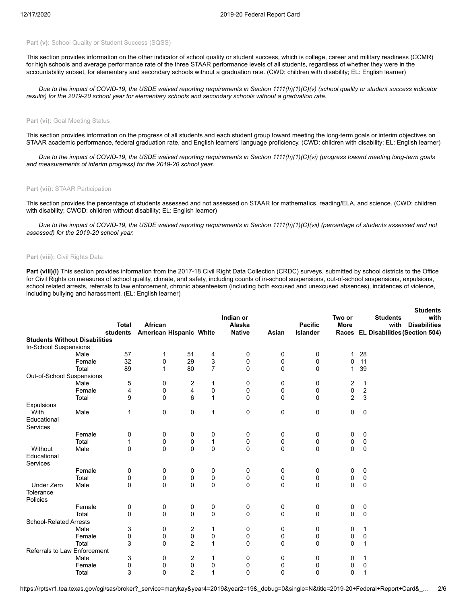## Part (v): School Quality or Student Success (SQSS)

This section provides information on the other indicator of school quality or student success, which is college, career and military readiness (CCMR) for high schools and average performance rate of the three STAAR performance levels of all students, regardless of whether they were in the accountability subset, for elementary and secondary schools without a graduation rate. (CWD: children with disability; EL: English learner)

*Due to the impact of COVID-19, the USDE waived reporting requirements in Section 1111(h)(1)(C)(v) (school quality or student success indicator results) for the 2019-20 school year for elementary schools and secondary schools without a graduation rate.*

## Part (vi): Goal Meeting Status

This section provides information on the progress of all students and each student group toward meeting the long-term goals or interim objectives on STAAR academic performance, federal graduation rate, and English learners' language proficiency. (CWD: children with disability; EL: English learner)

*Due to the impact of COVID-19, the USDE waived reporting requirements in Section 1111(h)(1)(C)(vi) (progress toward meeting long-term goals and measurements of interim progress) for the 2019-20 school year.*

#### **Part (vii):** STAAR Participation

This section provides the percentage of students assessed and not assessed on STAAR for mathematics, reading/ELA, and science. (CWD: children with disability; CWOD: children without disability; EL: English learner)

*Due to the impact of COVID-19, the USDE waived reporting requirements in Section 1111(h)(1)(C)(vii) (percentage of students assessed and not assessed) for the 2019-20 school year.*

## **Part (viii):** Civil Rights Data

Part (viii)(I) This section provides information from the 2017-18 Civil Right Data Collection (CRDC) surveys, submitted by school districts to the Office for Civil Rights on measures of school quality, climate, and safety, including counts of in-school suspensions, out-of-school suspensions, expulsions, school related arrests, referrals to law enforcement, chronic absenteeism (including both excused and unexcused absences), incidences of violence, including bullying and harassment. (EL: English learner)

|                                      |        |                          |                         |                     |                     |                         |       |                                   |                |                | <b>Students</b>                     |
|--------------------------------------|--------|--------------------------|-------------------------|---------------------|---------------------|-------------------------|-------|-----------------------------------|----------------|----------------|-------------------------------------|
|                                      |        |                          |                         |                     |                     | Indian or               |       |                                   | Two or         |                | <b>Students</b><br>with             |
|                                      |        | <b>Total</b><br>students | African                 |                     |                     | Alaska<br><b>Native</b> | Asian | <b>Pacific</b><br><b>Islander</b> | <b>More</b>    |                | <b>Disabilities</b><br>with         |
| <b>Students Without Disabilities</b> |        |                          | American Hispanic White |                     |                     |                         |       |                                   |                |                | Races EL Disabilities (Section 504) |
| In-School Suspensions                |        |                          |                         |                     |                     |                         |       |                                   |                |                |                                     |
|                                      | Male   | 57                       | 1                       | 51                  | 4                   | 0                       | 0     | 0                                 | 1              | 28             |                                     |
|                                      | Female | 32                       | 0                       | 29                  | 3                   | 0                       | 0     | 0                                 | 0              | 11             |                                     |
|                                      | Total  | 89                       | 1                       | 80                  | $\overline{7}$      | 0                       | 0     | 0                                 | 1              | 39             |                                     |
| Out-of-School Suspensions            |        |                          |                         |                     |                     |                         |       |                                   |                |                |                                     |
|                                      | Male   | 5                        | 0                       | $\overline{c}$      | 1                   | 0                       | 0     | 0                                 | 2              | $\mathbf{1}$   |                                     |
|                                      | Female | 4                        | 0                       | 4                   | $\pmb{0}$           | 0                       | 0     | 0                                 | 0              | $\overline{2}$ |                                     |
|                                      | Total  | 9                        | 0                       | 6                   | $\mathbf{1}$        | 0                       | 0     | 0                                 | $\overline{c}$ | 3              |                                     |
| Expulsions                           |        |                          |                         |                     |                     |                         |       |                                   |                |                |                                     |
| With                                 | Male   | 1                        | 0                       | 0                   | $\mathbf{1}$        | 0                       | 0     | 0                                 | 0              | $\mathbf 0$    |                                     |
| Educational                          |        |                          |                         |                     |                     |                         |       |                                   |                |                |                                     |
| Services                             |        |                          |                         |                     |                     |                         |       |                                   |                |                |                                     |
|                                      | Female | 0                        | 0                       | 0                   | 0                   | 0                       | 0     | 0                                 | 0              | 0              |                                     |
|                                      | Total  | 1                        | 0                       | 0                   | $\mathbf{1}$        | 0                       | 0     | 0                                 | 0              | 0              |                                     |
| Without                              | Male   | 0                        | 0                       | 0                   | $\mathbf 0$         | 0                       | 0     | 0                                 | 0              | $\mathbf 0$    |                                     |
| Educational                          |        |                          |                         |                     |                     |                         |       |                                   |                |                |                                     |
| Services                             |        |                          |                         |                     |                     |                         |       |                                   |                |                |                                     |
|                                      | Female | 0                        | 0                       | 0                   | 0                   | 0                       | 0     | 0                                 | 0              | $\mathbf 0$    |                                     |
|                                      | Total  | 0                        | 0                       | 0                   | 0                   | 0                       | 0     | 0                                 | 0              | $\mathbf 0$    |                                     |
| <b>Under Zero</b>                    | Male   | $\Omega$                 | $\Omega$                | $\Omega$            | $\mathbf 0$         | 0                       | 0     | 0                                 | $\Omega$       | $\mathbf 0$    |                                     |
| Tolerance                            |        |                          |                         |                     |                     |                         |       |                                   |                |                |                                     |
| Policies                             |        |                          |                         |                     |                     |                         |       |                                   |                |                |                                     |
|                                      | Female | 0                        | 0                       | 0                   | 0                   | 0                       | 0     | 0                                 | 0              | 0              |                                     |
|                                      | Total  | 0                        | 0                       | $\Omega$            | $\mathbf 0$         | 0                       | 0     | 0                                 | 0              | $\mathbf 0$    |                                     |
| <b>School-Related Arrests</b>        |        |                          |                         |                     |                     |                         |       |                                   |                |                |                                     |
|                                      | Male   | 3                        | 0                       | 2                   | 1                   | 0                       | 0     | 0                                 | 0              | 1              |                                     |
|                                      | Female | 0                        | 0                       | 0                   | 0<br>$\overline{1}$ | 0                       | 0     | 0                                 | 0              | 0              |                                     |
|                                      | Total  | 3                        | $\mathbf{0}$            | $\overline{2}$      |                     | 0                       | 0     | 0                                 | 0              | 1              |                                     |
| Referrals to Law Enforcement         |        |                          |                         |                     |                     |                         |       |                                   |                |                |                                     |
|                                      | Male   | 3                        | 0                       | 2                   | 1                   | 0                       | 0     | 0                                 | 0              | 1              |                                     |
|                                      | Female | 0                        | 0<br>$\mathbf{0}$       | 0<br>$\overline{2}$ | 0<br>1              | 0<br>0                  | 0     | 0                                 | 0              | 0<br>1         |                                     |
|                                      | Total  | 3                        |                         |                     |                     |                         | 0     | 0                                 | 0              |                |                                     |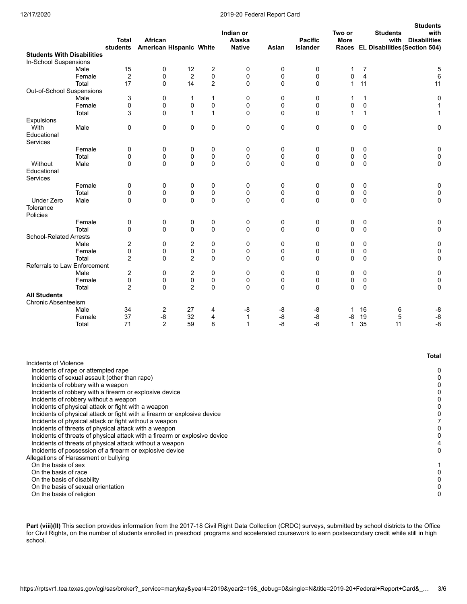## 12/17/2020 2019-20 Federal Report Card

|                                                                                                   |                | <b>Total</b><br>students | African<br><b>American Hispanic White</b> |                |                  | Indian or<br>Alaska<br><b>Native</b> | Asian       | <b>Pacific</b><br>Islander | Two or<br><b>More</b> |                | <b>Students</b><br><b>Students</b><br>with<br>with<br><b>Disabilities</b><br>Races EL Disabilities (Section 504) |
|---------------------------------------------------------------------------------------------------|----------------|--------------------------|-------------------------------------------|----------------|------------------|--------------------------------------|-------------|----------------------------|-----------------------|----------------|------------------------------------------------------------------------------------------------------------------|
| <b>Students With Disabilities</b>                                                                 |                |                          |                                           |                |                  |                                      |             |                            |                       |                |                                                                                                                  |
| In-School Suspensions                                                                             |                |                          |                                           |                |                  |                                      |             |                            |                       |                |                                                                                                                  |
|                                                                                                   | Male           | 15                       | 0                                         | 12             | 2                | 0                                    | 0           | 0                          | $\mathbf{1}$          | $\overline{7}$ | $\mathbf 5$                                                                                                      |
|                                                                                                   | Female         | $\overline{2}$           | 0                                         | $\overline{2}$ | 0                | 0                                    | 0           | 0                          | 0                     | 4              | 6                                                                                                                |
|                                                                                                   | Total          | 17                       | 0                                         | 14             | 2                | 0                                    | 0           | 0                          | $\mathbf{1}$          | 11             | 11                                                                                                               |
| Out-of-School Suspensions                                                                         | Male           | 3                        | 0                                         |                |                  | 0                                    | 0           | $\mathbf 0$                | 1                     | $\mathbf{1}$   |                                                                                                                  |
|                                                                                                   | Female         | 0                        | 0                                         | 1<br>0         | $\mathbf 1$<br>0 | 0                                    | 0           | 0                          | 0                     | 0              | 0<br>1                                                                                                           |
|                                                                                                   | Total          | 3                        | 0                                         | $\mathbf 1$    | $\mathbf{1}$     | 0                                    | 0           | $\mathbf 0$                | 1                     | $\mathbf{1}$   | 1                                                                                                                |
| Expulsions                                                                                        |                |                          |                                           |                |                  |                                      |             |                            |                       |                |                                                                                                                  |
| With                                                                                              | Male           | 0                        | 0                                         | 0              | 0                | 0                                    | 0           | $\mathbf 0$                | 0                     | 0              | 0                                                                                                                |
| Educational<br>Services                                                                           |                |                          |                                           |                |                  |                                      |             |                            |                       |                |                                                                                                                  |
|                                                                                                   | Female         | 0                        | 0                                         | 0              | 0                | 0                                    | 0           | 0                          | 0                     | 0              | 0                                                                                                                |
|                                                                                                   | Total          | 0                        | 0                                         | 0              | 0                | 0                                    | 0           | 0                          | 0                     | $\pmb{0}$      | $\pmb{0}$                                                                                                        |
| Without<br>Educational                                                                            | Male           | 0                        | 0                                         | 0              | 0                | 0                                    | 0           | $\mathbf 0$                | 0                     | 0              | 0                                                                                                                |
| Services                                                                                          | Female         | 0                        | 0                                         | 0              | 0                | 0                                    | 0           | 0                          | 0                     | 0              | 0                                                                                                                |
|                                                                                                   | Total          | 0                        | 0                                         | 0              | 0                | $\mathbf 0$                          | 0           | 0                          | 0                     | $\mathbf 0$    | $\pmb{0}$                                                                                                        |
| <b>Under Zero</b>                                                                                 | Male           | 0                        | 0                                         | 0              | 0                | 0                                    | 0           | $\mathbf 0$                | 0                     | 0              | 0                                                                                                                |
| Tolerance<br>Policies                                                                             |                |                          |                                           |                |                  |                                      |             |                            |                       |                |                                                                                                                  |
|                                                                                                   | Female         | 0                        | 0                                         | 0              | 0                | 0                                    | 0           | 0                          | 0                     | 0              | 0                                                                                                                |
|                                                                                                   | Total          | 0                        | 0                                         | 0              | 0                | 0                                    | 0           | $\mathbf 0$                | 0                     | $\mathbf 0$    | 0                                                                                                                |
| <b>School-Related Arrests</b>                                                                     |                |                          |                                           |                |                  |                                      |             |                            |                       |                |                                                                                                                  |
|                                                                                                   | Male<br>Female | 2<br>0                   | 0<br>0                                    | 2<br>0         | 0<br>0           | 0<br>0                               | 0<br>0      | 0<br>0                     | 0<br>0                | 0<br>0         | 0<br>$\pmb{0}$                                                                                                   |
|                                                                                                   | Total          | $\overline{2}$           | $\Omega$                                  | $\overline{2}$ | $\mathbf 0$      | $\mathbf 0$                          | 0           | $\mathbf 0$                | 0                     | 0              | 0                                                                                                                |
| Referrals to Law Enforcement                                                                      |                |                          |                                           |                |                  |                                      |             |                            |                       |                |                                                                                                                  |
|                                                                                                   | Male           | $\overline{2}$           | 0                                         | 2              | 0                | 0                                    | 0           | 0                          | 0                     | 0              | 0                                                                                                                |
|                                                                                                   | Female         | 0                        | 0                                         | 0              | 0                | 0                                    | 0           | 0                          | 0                     | 0              | 0                                                                                                                |
|                                                                                                   | Total          | $\overline{2}$           | 0                                         | $\overline{2}$ | 0                | 0                                    | $\mathbf 0$ | $\mathbf 0$                | 0                     | 0              | 0                                                                                                                |
| <b>All Students</b>                                                                               |                |                          |                                           |                |                  |                                      |             |                            |                       |                |                                                                                                                  |
| <b>Chronic Absenteeism</b>                                                                        | Male           | 34                       | $\overline{c}$                            | 27             | 4                | -8                                   | -8          | -8                         | 1                     | 16             | -8<br>6                                                                                                          |
|                                                                                                   | Female         | 37                       | -8                                        | 32             | 4                | $\mathbf{1}$                         | -8          | $-8$                       | -8                    | 19             | $-8$<br>$\mathbf 5$                                                                                              |
|                                                                                                   | Total          | 71                       | $\overline{2}$                            | 59             | 8                | $\mathbf{1}$                         | -8          | $-8$                       | $\mathbf{1}$          | 35             | $-8$<br>11                                                                                                       |
|                                                                                                   |                |                          |                                           |                |                  |                                      |             |                            |                       |                |                                                                                                                  |
|                                                                                                   |                |                          |                                           |                |                  |                                      |             |                            |                       |                | <b>Total</b>                                                                                                     |
| Incidents of Violence                                                                             |                |                          |                                           |                |                  |                                      |             |                            |                       |                |                                                                                                                  |
| Incidents of rape or attempted rape                                                               |                |                          |                                           |                |                  |                                      |             |                            |                       |                | 0                                                                                                                |
| Incidents of sexual assault (other than rape)<br>Incidents of robbery with a weapon               |                |                          |                                           |                |                  |                                      |             |                            |                       |                | 0<br>0                                                                                                           |
| Incidents of robbery with a firearm or explosive device                                           |                |                          |                                           |                |                  |                                      |             |                            |                       |                | 0                                                                                                                |
| Incidents of robbery without a weapon                                                             |                |                          |                                           |                |                  |                                      |             |                            |                       |                | 0                                                                                                                |
| Incidents of physical attack or fight with a weapon                                               |                |                          |                                           |                |                  |                                      |             |                            |                       |                | 0                                                                                                                |
| Incidents of physical attack or fight with a firearm or explosive device                          |                |                          |                                           |                |                  |                                      |             |                            |                       |                | 0                                                                                                                |
| Incidents of physical attack or fight without a weapon                                            |                |                          |                                           |                |                  |                                      |             |                            |                       |                | 7                                                                                                                |
| Incidents of threats of physical attack with a weapon                                             |                |                          |                                           |                |                  |                                      |             |                            |                       |                | 0                                                                                                                |
| Incidents of threats of physical attack with a firearm or explosive device                        |                |                          |                                           |                |                  |                                      |             |                            |                       |                | 0                                                                                                                |
| Incidents of threats of physical attack without a weapon                                          |                |                          |                                           |                |                  |                                      |             |                            |                       |                | 4                                                                                                                |
| Incidents of possession of a firearm or explosive device<br>Allegations of Harassment or bullying |                |                          |                                           |                |                  |                                      |             |                            |                       |                | 0                                                                                                                |
| On the basis of sex                                                                               |                |                          |                                           |                |                  |                                      |             |                            |                       |                | 1                                                                                                                |
| On the basis of race                                                                              |                |                          |                                           |                |                  |                                      |             |                            |                       |                | 0                                                                                                                |
| On the basis of disability                                                                        |                |                          |                                           |                |                  |                                      |             |                            |                       |                | 0                                                                                                                |
| On the basis of sexual orientation                                                                |                |                          |                                           |                |                  |                                      |             |                            |                       |                | 0                                                                                                                |
| On the basis of religion                                                                          |                |                          |                                           |                |                  |                                      |             |                            |                       |                | 0                                                                                                                |

Part (viii)(II) This section provides information from the 2017-18 Civil Right Data Collection (CRDC) surveys, submitted by school districts to the Office for Civil Rights, on the number of students enrolled in preschool programs and accelerated coursework to earn postsecondary credit while still in high school.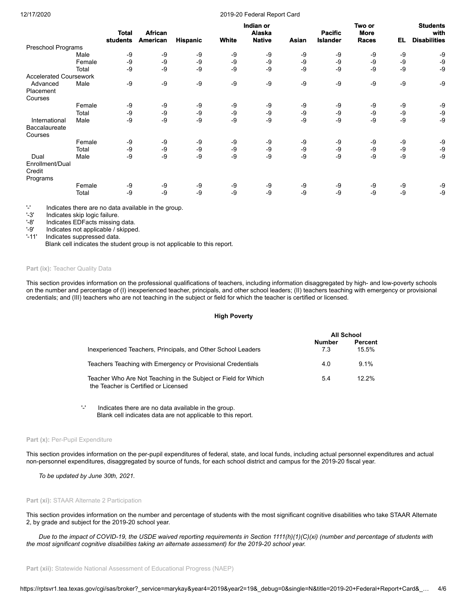#### 12/17/2020 2019-20 Federal Report Card

|                               |        | <b>Total</b> | <b>African</b> |                 |              | Indian or<br>Alaska |       | <b>Pacific</b>  | Two or<br><b>More</b> |      | <b>Students</b><br>with |
|-------------------------------|--------|--------------|----------------|-----------------|--------------|---------------------|-------|-----------------|-----------------------|------|-------------------------|
|                               |        | students     | American       | <b>Hispanic</b> | <b>White</b> | <b>Native</b>       | Asian | <b>Islander</b> | <b>Races</b>          | EL   | <b>Disabilities</b>     |
| Preschool Programs            |        |              |                |                 |              |                     |       |                 |                       |      |                         |
|                               | Male   | -9           | -9             | -9              | -9           | -9                  | -9    | -9              | -9                    | $-9$ | -9                      |
|                               | Female | -9           | -9             | -9              | -9           | $-9$                | -9    | -9              | -9                    | $-9$ | -9                      |
|                               | Total  | -9           | -9             | -9              | $-9$         | $-9$                | -9    | -9              | -9                    | $-9$ | -9                      |
| <b>Accelerated Coursework</b> |        |              |                |                 |              |                     |       |                 |                       |      |                         |
| Advanced                      | Male   | -9           | -9             | -9              | $-9$         | $-9$                | -9    | -9              | -9                    | $-9$ | -9                      |
| Placement                     |        |              |                |                 |              |                     |       |                 |                       |      |                         |
| Courses                       |        |              |                |                 |              |                     |       |                 |                       |      |                         |
|                               | Female | -9           | -9             | -9              | -9           | -9                  | -9    | -9              | -9                    | -9   | -9                      |
|                               | Total  | -9           | -9             | -9              | $-9$         | -9                  | -9    | -9              | -9                    | $-9$ | -9                      |
| International                 | Male   | $-9$         | -9             | -9              | -9           | $-9$                | -9    | -9              | $-9$                  | $-9$ | -9                      |
| <b>Baccalaureate</b>          |        |              |                |                 |              |                     |       |                 |                       |      |                         |
| Courses                       |        |              |                |                 |              |                     |       |                 |                       |      |                         |
|                               | Female | -9           | -9             | -9              | -9           | -9                  | -9    | -9              | -9                    | -9   | -9                      |
|                               | Total  | -9           | -9             | -9              | -9           | -9                  | -9    | -9              | -9                    | $-9$ | -9                      |
| Dual                          | Male   | -9           | -9             | -9              | -9           | -9                  | -9    | -9              | -9                    | $-9$ | $-9$                    |
| Enrollment/Dual               |        |              |                |                 |              |                     |       |                 |                       |      |                         |
| Credit                        |        |              |                |                 |              |                     |       |                 |                       |      |                         |
| Programs                      |        |              |                |                 |              |                     |       |                 |                       |      |                         |
|                               | Female | -9           | -9             | -9              | -9           | -9                  | -9    | -9              | -9                    | -9   | -9                      |
|                               | Total  | -9           | -9             | -9              | -9           | -9                  | -9    | -9              | $-9$                  | $-9$ | -9                      |

'-' Indicates there are no data available in the group.

'-3' Indicates skip logic failure.<br>'-8' Indicates EDFacts missing

Indicates EDFacts missing data.

'-9' Indicates not applicable / skipped.

'-11' Indicates suppressed data.

Blank cell indicates the student group is not applicable to this report.

# Part (ix): Teacher Quality Data

This section provides information on the professional qualifications of teachers, including information disaggregated by high- and low-poverty schools on the number and percentage of (I) inexperienced teacher, principals, and other school leaders; (II) teachers teaching with emergency or provisional credentials; and (III) teachers who are not teaching in the subject or field for which the teacher is certified or licensed.

#### **High Poverty**

|                                                                                                        | All School   |                  |  |
|--------------------------------------------------------------------------------------------------------|--------------|------------------|--|
| Inexperienced Teachers, Principals, and Other School Leaders                                           | Number<br>73 | Percent<br>15.5% |  |
| Teachers Teaching with Emergency or Provisional Credentials                                            | 4.0          | $9.1\%$          |  |
| Teacher Who Are Not Teaching in the Subject or Field for Which<br>the Teacher is Certified or Licensed | 5.4          | $12.2\%$         |  |

'-' Indicates there are no data available in the group. Blank cell indicates data are not applicable to this report.

#### Part (x): Per-Pupil Expenditure

This section provides information on the per-pupil expenditures of federal, state, and local funds, including actual personnel expenditures and actual non-personnel expenditures, disaggregated by source of funds, for each school district and campus for the 2019-20 fiscal year.

*To be updated by June 30th, 2021.*

#### **Part (xi):** STAAR Alternate 2 Participation

This section provides information on the number and percentage of students with the most significant cognitive disabilities who take STAAR Alternate 2, by grade and subject for the 2019-20 school year.

*Due to the impact of COVID-19, the USDE waived reporting requirements in Section 1111(h)(1)(C)(xi) (number and percentage of students with the most significant cognitive disabilities taking an alternate assessment) for the 2019-20 school year.*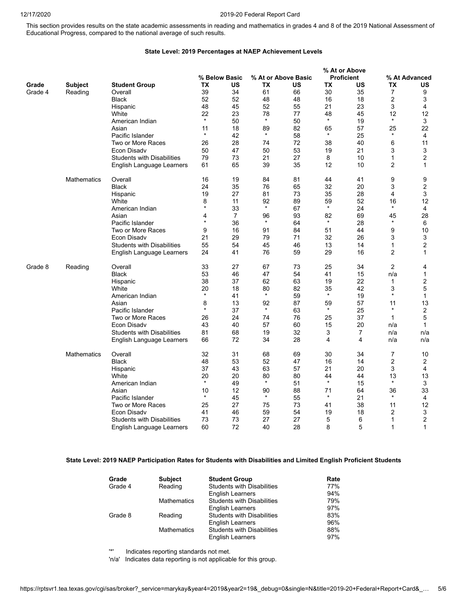This section provides results on the state academic assessments in reading and mathematics in grades 4 and 8 of the 2019 National Assessment of Educational Progress, compared to the national average of such results.

## **State Level: 2019 Percentages at NAEP Achievement Levels**

|         |                    |                                   |              |                |         |                     |               | % At or Above     |                |                  |
|---------|--------------------|-----------------------------------|--------------|----------------|---------|---------------------|---------------|-------------------|----------------|------------------|
|         |                    |                                   |              | % Below Basic  |         | % At or Above Basic |               | <b>Proficient</b> |                | % At Advanced    |
| Grade   | <b>Subject</b>     | <b>Student Group</b>              | TX           | US             | ТX      | US                  | TX            | US                | TX             | US               |
| Grade 4 | Reading            | Overall                           | 39           | 34             | 61      | 66                  | 30            | 35                | 7              | 9                |
|         |                    | Black                             | 52           | 52             | 48      | 48                  | 16            | 18                | $\overline{2}$ | 3                |
|         |                    | Hispanic                          | 48           | 45             | 52      | 55                  | 21            | 23                | 3              | 4                |
|         |                    | White                             | 22           | 23             | 78      | 77                  | 48            | 45                | 12             | 12               |
|         |                    | American Indian                   | $\star$      | 50             | $\star$ | 50                  | $\star$       | 19                | $\star$        | 3                |
|         |                    | Asian                             | 11           | 18             | 89      | 82                  | 65            | 57                | 25             | 22               |
|         |                    | Pacific Islander                  | $\star$      | 42             | $\star$ | 58                  | $\star$       | 25                | $\star$        | $\overline{4}$   |
|         |                    | Two or More Races                 | 26           | 28             | 74      | 72                  | 38            | 40                | 6              | 11               |
|         |                    | Econ Disadv                       | 50           | 47             | 50      | 53                  | 19            | 21                | 3              | 3                |
|         |                    | <b>Students with Disabilities</b> | 79           | 73             | 21      | 27                  | 8             | 10                | 1              | 2                |
|         |                    | English Language Learners         | 61           | 65             | 39      | 35                  | 12            | 10                | 2              | $\mathbf{1}$     |
|         | <b>Mathematics</b> | Overall                           | 16           | 19             | 84      | 81                  | 44            | 41                | 9              | 9                |
|         |                    | Black                             | 24           | 35             | 76      | 65                  | 32            | 20                | 3              | $\boldsymbol{2}$ |
|         |                    | Hispanic                          | 19           | 27             | 81      | 73                  | 35            | 28                | 4              | 3                |
|         |                    | White                             | 8<br>$\star$ | 11             | 92      | 89                  | 59            | 52                | 16             | 12               |
|         |                    | American Indian                   |              | 33             | $\star$ | 67                  | $\star$       | 24                | $\star$        | 4                |
|         |                    | Asian                             | 4<br>$\star$ | $\overline{7}$ | 96      | 93                  | 82<br>$\star$ | 69                | 45<br>$\star$  | 28               |
|         |                    | Pacific Islander                  |              | 36             | $\star$ | 64                  |               | 28                |                | 6                |
|         |                    | Two or More Races                 | 9            | 16             | 91      | 84                  | 51            | 44                | 9              | 10               |
|         |                    | Econ Disadv                       | 21           | 29             | 79      | 71                  | 32            | 26                | 3              | 3                |
|         |                    | <b>Students with Disabilities</b> | 55           | 54             | 45      | 46                  | 13            | 14                | $\mathbf{1}$   | $\overline{2}$   |
|         |                    | English Language Learners         | 24           | 41             | 76      | 59                  | 29            | 16                | $\overline{2}$ | 1                |
| Grade 8 | Reading            | Overall                           | 33           | 27             | 67      | 73                  | 25            | 34                | $\overline{2}$ | 4                |
|         |                    | <b>Black</b>                      | 53           | 46             | 47      | 54                  | 41            | 15                | n/a            | $\mathbf{1}$     |
|         |                    | Hispanic                          | 38           | 37             | 62      | 63                  | 19            | 22                | 1              | 2                |
|         |                    | White                             | 20           | 18             | 80      | 82                  | 35            | 42                | 3              | 5                |
|         |                    | American Indian                   | $\star$      | 41             | $\star$ | 59                  | $\star$       | 19                | $\star$        | $\mathbf{1}$     |
|         |                    | Asian                             | 8            | 13             | 92      | 87                  | 59            | 57                | 11             | 13               |
|         |                    | Pacific Islander                  | $\star$      | 37             | $\star$ | 63                  | $\star$       | 25                | $\star$        | $\boldsymbol{2}$ |
|         |                    | Two or More Races                 | 26           | 24             | 74      | 76                  | 25            | 37                | 1              | 5                |
|         |                    | Econ Disadv                       | 43           | 40             | 57      | 60                  | 15            | 20                | n/a            | $\mathbf{1}$     |
|         |                    | <b>Students with Disabilities</b> | 81           | 68             | 19      | 32                  | 3             | 7                 | n/a            | n/a              |
|         |                    | English Language Learners         | 66           | 72             | 34      | 28                  | 4             | 4                 | n/a            | n/a              |
|         | Mathematics        | Overall                           | 32           | 31             | 68      | 69                  | 30            | 34                | 7              | 10               |
|         |                    | <b>Black</b>                      | 48           | 53             | 52      | 47                  | 16            | 14                | $\overline{c}$ | 2                |
|         |                    | Hispanic                          | 37           | 43             | 63      | 57                  | 21            | 20                | 3              | 4                |
|         |                    | White                             | 20           | 20             | 80      | 80                  | 44            | 44                | 13             | 13               |
|         |                    | American Indian                   | $\star$      | 49             | $\star$ | 51                  | $\star$       | 15                | $\star$        | 3                |
|         |                    | Asian                             | 10           | 12             | 90      | 88                  | 71            | 64                | 36<br>$\star$  | 33               |
|         |                    | Pacific Islander                  | $\star$      | 45             | $\star$ | 55                  | $\star$       | 21                |                | $\overline{4}$   |
|         |                    | Two or More Races                 | 25           | 27             | 75      | 73                  | 41            | 38                | 11             | 12               |
|         |                    | Econ Disadv                       | 41           | 46             | 59      | 54                  | 19            | 18                | $\overline{c}$ | 3                |
|         |                    | <b>Students with Disabilities</b> | 73           | 73             | 27      | 27                  | 5             | 6                 | 1              | $\overline{2}$   |
|         |                    | English Language Learners         | 60           | 72             | 40      | 28                  | 8             | 5                 | 1              | 1                |

## **State Level: 2019 NAEP Participation Rates for Students with Disabilities and Limited English Proficient Students**

| Grade   | <b>Subject</b>     | <b>Student Group</b>              | Rate |
|---------|--------------------|-----------------------------------|------|
| Grade 4 | Reading            | <b>Students with Disabilities</b> | 77%  |
|         |                    | <b>English Learners</b>           | 94%  |
|         | <b>Mathematics</b> | <b>Students with Disabilities</b> | 79%  |
|         |                    | <b>English Learners</b>           | 97%  |
| Grade 8 | Reading            | <b>Students with Disabilities</b> | 83%  |
|         |                    | English Learners                  | 96%  |
|         | <b>Mathematics</b> | <b>Students with Disabilities</b> | 88%  |
|         |                    | <b>English Learners</b>           | 97%  |

'\*' Indicates reporting standards not met.

'n/a' Indicates data reporting is not applicable for this group.